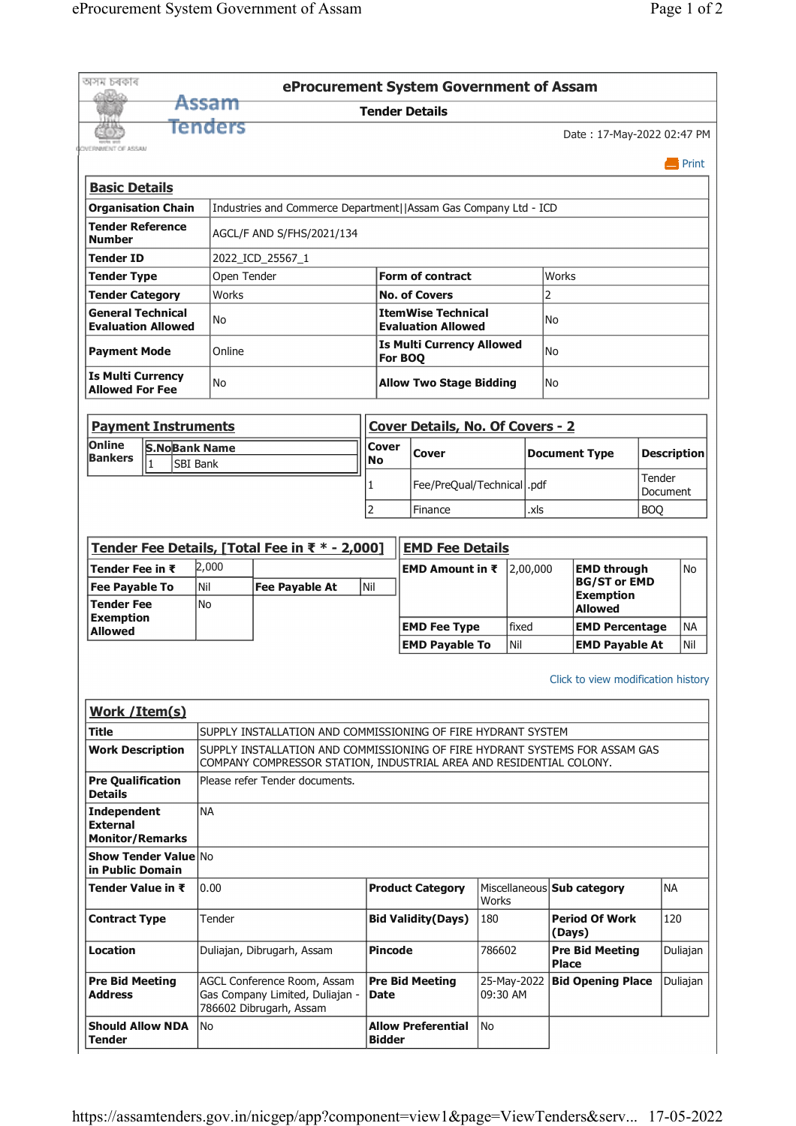|                                                                                                                                                                                                                                                                                              |                                     |                  |                                                                                           |                                  | eProcurement System Government of Assam                |                         |                                           |                                                |                    |                      |  |  |
|----------------------------------------------------------------------------------------------------------------------------------------------------------------------------------------------------------------------------------------------------------------------------------------------|-------------------------------------|------------------|-------------------------------------------------------------------------------------------|----------------------------------|--------------------------------------------------------|-------------------------|-------------------------------------------|------------------------------------------------|--------------------|----------------------|--|--|
|                                                                                                                                                                                                                                                                                              |                                     | Assam            |                                                                                           |                                  | <b>Tender Details</b>                                  |                         |                                           |                                                |                    |                      |  |  |
|                                                                                                                                                                                                                                                                                              |                                     | Tenders          |                                                                                           |                                  |                                                        |                         |                                           | Date: 17-May-2022 02:47 PM                     |                    |                      |  |  |
| <b>OVERNMENT OF ASSAM</b>                                                                                                                                                                                                                                                                    |                                     |                  |                                                                                           |                                  |                                                        |                         |                                           |                                                |                    |                      |  |  |
|                                                                                                                                                                                                                                                                                              |                                     |                  |                                                                                           |                                  |                                                        |                         |                                           |                                                |                    | $\blacksquare$ Print |  |  |
| <b>Basic Details</b>                                                                                                                                                                                                                                                                         |                                     |                  |                                                                                           |                                  |                                                        |                         |                                           |                                                |                    |                      |  |  |
| <b>Organisation Chain</b>                                                                                                                                                                                                                                                                    |                                     |                  | Industries and Commerce Department  Assam Gas Company Ltd - ICD                           |                                  |                                                        |                         |                                           |                                                |                    |                      |  |  |
| <b>Tender Reference</b><br><b>Number</b>                                                                                                                                                                                                                                                     |                                     |                  | AGCL/F AND S/FHS/2021/134                                                                 |                                  |                                                        |                         |                                           |                                                |                    |                      |  |  |
| <b>Tender ID</b>                                                                                                                                                                                                                                                                             |                                     |                  | 2022 ICD 25567 1                                                                          |                                  |                                                        |                         |                                           |                                                |                    |                      |  |  |
| <b>Tender Type</b>                                                                                                                                                                                                                                                                           |                                     | Open Tender      |                                                                                           | <b>Form of contract</b><br>Works |                                                        |                         |                                           |                                                |                    |                      |  |  |
| <b>Tender Category</b>                                                                                                                                                                                                                                                                       |                                     | <b>Works</b>     |                                                                                           |                                  | <b>No. of Covers</b>                                   |                         |                                           | 2                                              |                    |                      |  |  |
| <b>General Technical</b><br><b>Evaluation Allowed</b>                                                                                                                                                                                                                                        |                                     | No               |                                                                                           |                                  | <b>ItemWise Technical</b><br><b>Evaluation Allowed</b> |                         |                                           | No                                             |                    |                      |  |  |
| <b>Payment Mode</b>                                                                                                                                                                                                                                                                          |                                     | Online           |                                                                                           |                                  | <b>Is Multi Currency Allowed</b>                       | No                      |                                           |                                                |                    |                      |  |  |
|                                                                                                                                                                                                                                                                                              |                                     |                  |                                                                                           |                                  | For BOQ                                                |                         |                                           |                                                |                    |                      |  |  |
| <b>Is Multi Currency</b><br><b>Allowed For Fee</b>                                                                                                                                                                                                                                           |                                     | No               |                                                                                           |                                  | <b>Allow Two Stage Bidding</b><br>No                   |                         |                                           |                                                |                    |                      |  |  |
|                                                                                                                                                                                                                                                                                              |                                     |                  |                                                                                           |                                  |                                                        |                         |                                           |                                                |                    |                      |  |  |
| <b>Payment Instruments</b>                                                                                                                                                                                                                                                                   |                                     |                  |                                                                                           |                                  | <b>Cover Details, No. Of Covers - 2</b>                |                         |                                           |                                                |                    |                      |  |  |
| Online<br><b>Bankers</b>                                                                                                                                                                                                                                                                     | <b>S.NoBank Name</b>                |                  |                                                                                           | Cover<br><b>No</b>               | Cover                                                  |                         |                                           | <b>Document Type</b>                           | <b>Description</b> |                      |  |  |
|                                                                                                                                                                                                                                                                                              | I1<br><b>SBI Bank</b>               |                  |                                                                                           |                                  |                                                        |                         |                                           |                                                | Tender             |                      |  |  |
|                                                                                                                                                                                                                                                                                              |                                     |                  |                                                                                           | 1                                | Fee/PreQual/Technical   .pdf                           |                         |                                           |                                                | Document           |                      |  |  |
|                                                                                                                                                                                                                                                                                              |                                     |                  |                                                                                           | $\overline{2}$                   | Finance                                                |                         | .xls                                      |                                                | <b>BOO</b>         |                      |  |  |
|                                                                                                                                                                                                                                                                                              |                                     |                  |                                                                                           |                                  |                                                        |                         |                                           |                                                |                    |                      |  |  |
|                                                                                                                                                                                                                                                                                              |                                     |                  | Tender Fee Details, [Total Fee in ₹ * - 2,000]                                            |                                  | <b>EMD Fee Details</b>                                 |                         |                                           |                                                |                    |                      |  |  |
|                                                                                                                                                                                                                                                                                              | 2,000<br>Tender Fee in $\bar{\tau}$ |                  |                                                                                           | EMD Amount in ₹                  |                                                        | 2,00,000                | <b>EMD through</b><br><b>BG/ST or EMD</b> | No                                             |                    |                      |  |  |
|                                                                                                                                                                                                                                                                                              | <b>Fee Payable To</b>               |                  |                                                                                           |                                  |                                                        |                         |                                           |                                                |                    |                      |  |  |
| <b>Tender Fee</b>                                                                                                                                                                                                                                                                            |                                     | Nil<br><b>No</b> | <b>Fee Payable At</b>                                                                     | Nil                              |                                                        |                         |                                           | <b>Exemption</b>                               |                    |                      |  |  |
|                                                                                                                                                                                                                                                                                              |                                     |                  |                                                                                           |                                  |                                                        | fixed                   |                                           | Allowed                                        |                    | <b>NA</b>            |  |  |
|                                                                                                                                                                                                                                                                                              |                                     |                  |                                                                                           |                                  | <b>EMD Fee Type</b><br><b>EMD Payable To</b>           | Nil                     |                                           | <b>EMD Percentage</b><br><b>EMD Payable At</b> |                    | Nil                  |  |  |
| <b>Exemption</b><br><b>Allowed</b>                                                                                                                                                                                                                                                           |                                     |                  |                                                                                           |                                  |                                                        |                         |                                           | Click to view modification history             |                    |                      |  |  |
|                                                                                                                                                                                                                                                                                              |                                     |                  |                                                                                           |                                  |                                                        |                         |                                           |                                                |                    |                      |  |  |
|                                                                                                                                                                                                                                                                                              |                                     |                  | SUPPLY INSTALLATION AND COMMISSIONING OF FIRE HYDRANT SYSTEM                              |                                  |                                                        |                         |                                           |                                                |                    |                      |  |  |
|                                                                                                                                                                                                                                                                                              |                                     |                  | SUPPLY INSTALLATION AND COMMISSIONING OF FIRE HYDRANT SYSTEMS FOR ASSAM GAS               |                                  |                                                        |                         |                                           |                                                |                    |                      |  |  |
|                                                                                                                                                                                                                                                                                              |                                     |                  | COMPANY COMPRESSOR STATION, INDUSTRIAL AREA AND RESIDENTIAL COLONY.                       |                                  |                                                        |                         |                                           |                                                |                    |                      |  |  |
|                                                                                                                                                                                                                                                                                              |                                     |                  | Please refer Tender documents.                                                            |                                  |                                                        |                         |                                           |                                                |                    |                      |  |  |
|                                                                                                                                                                                                                                                                                              |                                     | <b>NA</b>        |                                                                                           |                                  |                                                        |                         |                                           |                                                |                    |                      |  |  |
|                                                                                                                                                                                                                                                                                              |                                     |                  |                                                                                           |                                  |                                                        |                         |                                           |                                                |                    |                      |  |  |
|                                                                                                                                                                                                                                                                                              |                                     | 0.00             |                                                                                           |                                  | <b>Product Category</b>                                | Works                   |                                           | Miscellaneous Sub category                     | <b>NA</b>          |                      |  |  |
|                                                                                                                                                                                                                                                                                              |                                     | Tender           |                                                                                           |                                  | <b>Bid Validity (Days)</b>                             | 180                     |                                           | <b>Period Of Work</b><br>(Days)                | 120                |                      |  |  |
| <b>Work /Item(s)</b><br>Title<br><b>Work Description</b><br><b>Pre Qualification</b><br><b>Details</b><br><b>Independent</b><br><b>External</b><br><b>Monitor/Remarks</b><br><b>Show Tender Value No</b><br>in Public Domain<br>Tender Value in ₹<br><b>Contract Type</b><br><b>Location</b> |                                     |                  | Duliajan, Dibrugarh, Assam                                                                | <b>Pincode</b>                   |                                                        | 786602                  |                                           | <b>Pre Bid Meeting</b><br><b>Place</b>         |                    |                      |  |  |
| <b>Pre Bid Meeting</b><br><b>Address</b>                                                                                                                                                                                                                                                     |                                     |                  | AGCL Conference Room, Assam<br>Gas Company Limited, Duliajan -<br>786602 Dibrugarh, Assam | Date                             | <b>Pre Bid Meeting</b>                                 | 25-May-2022<br>09:30 AM |                                           | <b>Bid Opening Place</b>                       |                    | Duliajan<br>Duliajan |  |  |